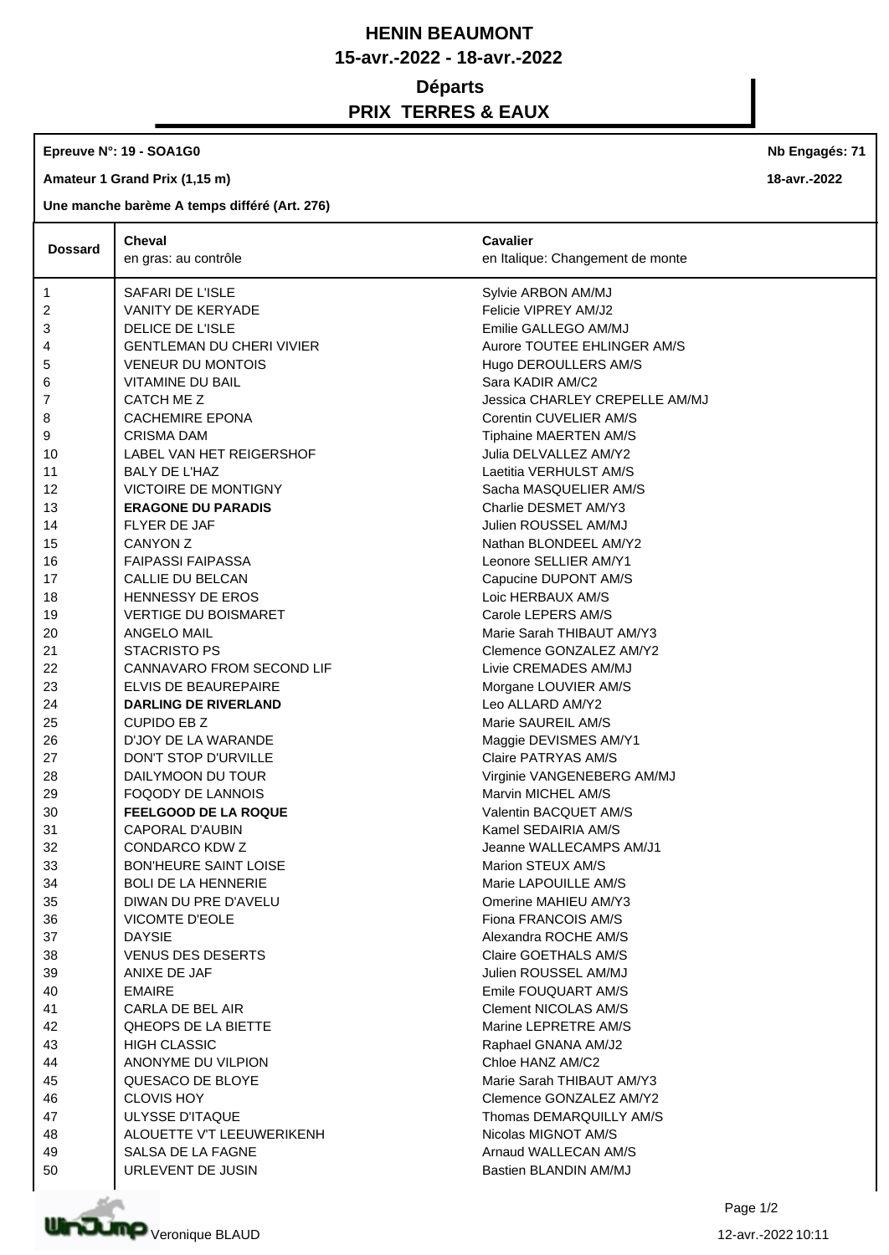## **HENIN BEAUMONT 15-avr.-2022 - 18-avr.-2022 Départs PRIX TERRES & EAUX**

**Epreuve N°: 19 - SOA1G0** 

**Amateur 1 Grand Prix (1,15 m)**

**Une manche barème A temps différé (Art. 276)**

|                | Cheval                           | <b>Cavalier</b>                  |
|----------------|----------------------------------|----------------------------------|
| <b>Dossard</b> | en gras: au contrôle             | en Italique: Changement de monte |
| 1              | SAFARI DE L'ISLE                 | Sylvie ARBON AM/MJ               |
| 2              | VANITY DE KERYADE                | Felicie VIPREY AM/J2             |
| 3              | <b>DELICE DE L'ISLE</b>          | Emilie GALLEGO AM/MJ             |
| 4              | <b>GENTLEMAN DU CHERI VIVIER</b> | Aurore TOUTEE EHLINGER AM/S      |
| 5              | <b>VENEUR DU MONTOIS</b>         | Hugo DEROULLERS AM/S             |
| 6              | <b>VITAMINE DU BAIL</b>          | Sara KADIR AM/C2                 |
| 7              | CATCH ME Z                       | Jessica CHARLEY CREPELLE AM/MJ   |
| 8              | <b>CACHEMIRE EPONA</b>           | Corentin CUVELIER AM/S           |
| 9              | <b>CRISMA DAM</b>                | Tiphaine MAERTEN AM/S            |
| 10             | LABEL VAN HET REIGERSHOF         | Julia DELVALLEZ AM/Y2            |
| 11             | <b>BALY DE L'HAZ</b>             | Laetitia VERHULST AM/S           |
| 12             | <b>VICTOIRE DE MONTIGNY</b>      | Sacha MASQUELIER AM/S            |
| 13             | <b>ERAGONE DU PARADIS</b>        | Charlie DESMET AM/Y3             |
| 14             | FLYER DE JAF                     | Julien ROUSSEL AM/MJ             |
| 15             | CANYON Z                         | Nathan BLONDEEL AM/Y2            |
| 16             | <b>FAIPASSI FAIPASSA</b>         | Leonore SELLIER AM/Y1            |
| 17             | CALLIE DU BELCAN                 | Capucine DUPONT AM/S             |
| 18             | <b>HENNESSY DE EROS</b>          | Loic HERBAUX AM/S                |
| 19             | <b>VERTIGE DU BOISMARET</b>      | Carole LEPERS AM/S               |
| 20             | ANGELO MAIL                      | Marie Sarah THIBAUT AM/Y3        |
|                | <b>STACRISTO PS</b>              | Clemence GONZALEZ AM/Y2          |
| 21             | CANNAVARO FROM SECOND LIF        | Livie CREMADES AM/MJ             |
| 22             |                                  |                                  |
| 23             | ELVIS DE BEAUREPAIRE             | Morgane LOUVIER AM/S             |
| 24             | <b>DARLING DE RIVERLAND</b>      | Leo ALLARD AM/Y2                 |
| 25             | <b>CUPIDO EB Z</b>               | Marie SAUREIL AM/S               |
| 26             | D'JOY DE LA WARANDE              | Maggie DEVISMES AM/Y1            |
| 27             | DON'T STOP D'URVILLE             | Claire PATRYAS AM/S              |
| 28             | DAILYMOON DU TOUR                | Virginie VANGENEBERG AM/MJ       |
| 29             | <b>FOQODY DE LANNOIS</b>         | Marvin MICHEL AM/S               |
| 30             | <b>FEELGOOD DE LA ROQUE</b>      | Valentin BACQUET AM/S            |
| 31             | CAPORAL D'AUBIN                  | Kamel SEDAIRIA AM/S              |
| 32             | CONDARCO KDW Z                   | Jeanne WALLECAMPS AM/J1          |
| 33             | <b>BON'HEURE SAINT LOISE</b>     | Marion STEUX AM/S                |
| 34             | <b>BOLI DE LA HENNERIE</b>       | Marie LAPOUILLE AM/S             |
| 35             | DIWAN DU PRE D'AVELU             | Omerine MAHIEU AM/Y3             |
| 36             | <b>VICOMTE D'EOLE</b>            | Fiona FRANCOIS AM/S              |
| 37             | <b>DAYSIE</b>                    | Alexandra ROCHE AM/S             |
| 38             | <b>VENUS DES DESERTS</b>         | Claire GOETHALS AM/S             |
| 39             | ANIXE DE JAF                     | Julien ROUSSEL AM/MJ             |
| 40             | <b>EMAIRE</b>                    | Emile FOUQUART AM/S              |
| 41             | CARLA DE BEL AIR                 | <b>Clement NICOLAS AM/S</b>      |
| 42             | QHEOPS DE LA BIETTE              | Marine LEPRETRE AM/S             |
| 43             | <b>HIGH CLASSIC</b>              | Raphael GNANA AM/J2              |
| 44             | ANONYME DU VILPION               | Chloe HANZ AM/C2                 |
| 45             | QUESACO DE BLOYE                 | Marie Sarah THIBAUT AM/Y3        |
| 46             | <b>CLOVIS HOY</b>                | Clemence GONZALEZ AM/Y2          |
| 47             | <b>ULYSSE D'ITAQUE</b>           | Thomas DEMARQUILLY AM/S          |
| 48             | ALOUETTE V'T LEEUWERIKENH        | Nicolas MIGNOT AM/S              |
| 49             | SALSA DE LA FAGNE                | Arnaud WALLECAN AM/S             |
| 50             | URLEVENT DE JUSIN                | Bastien BLANDIN AM/MJ            |



**Nb Engagés: 71**

**18-avr.-2022**